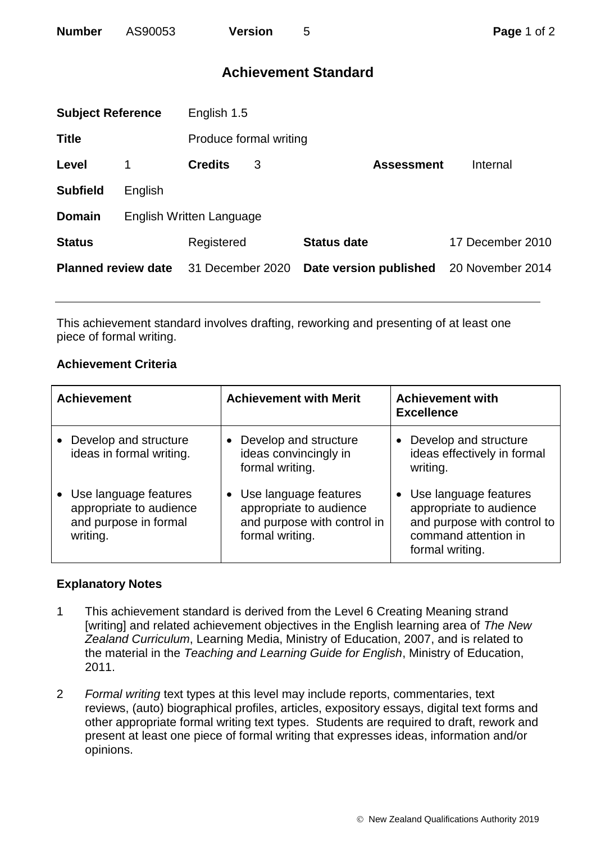## **Achievement Standard**

| <b>Subject Reference</b>   |                          | English 1.5            |   |                        |                  |  |
|----------------------------|--------------------------|------------------------|---|------------------------|------------------|--|
| <b>Title</b>               |                          | Produce formal writing |   |                        |                  |  |
| Level                      | 1                        | <b>Credits</b>         | 3 | <b>Assessment</b>      | Internal         |  |
| <b>Subfield</b>            | English                  |                        |   |                        |                  |  |
| <b>Domain</b>              | English Written Language |                        |   |                        |                  |  |
| <b>Status</b>              |                          | Registered             |   | <b>Status date</b>     | 17 December 2010 |  |
| <b>Planned review date</b> |                          | 31 December 2020       |   | Date version published | 20 November 2014 |  |
|                            |                          |                        |   |                        |                  |  |

This achievement standard involves drafting, reworking and presenting of at least one piece of formal writing.

## **Achievement Criteria**

| <b>Achievement</b>                                                                      | <b>Achievement with Merit</b>                                                                      | <b>Achievement with</b><br><b>Excellence</b>                                                                                 |
|-----------------------------------------------------------------------------------------|----------------------------------------------------------------------------------------------------|------------------------------------------------------------------------------------------------------------------------------|
| Develop and structure<br>ideas in formal writing.                                       | Develop and structure<br>ideas convincingly in<br>formal writing.                                  | Develop and structure<br>ideas effectively in formal<br>writing.                                                             |
| • Use language features<br>appropriate to audience<br>and purpose in formal<br>writing. | Use language features<br>appropriate to audience<br>and purpose with control in<br>formal writing. | • Use language features<br>appropriate to audience<br>and purpose with control to<br>command attention in<br>formal writing. |

## **Explanatory Notes**

- 1 This achievement standard is derived from the Level 6 Creating Meaning strand [writing] and related achievement objectives in the English learning area of *The New Zealand Curriculum*, Learning Media, Ministry of Education, 2007, and is related to the material in the *Teaching and Learning Guide for English*, Ministry of Education, 2011.
- 2 *Formal writing* text types at this level may include reports, commentaries, text reviews, (auto) biographical profiles, articles, expository essays, digital text forms and other appropriate formal writing text types. Students are required to draft, rework and present at least one piece of formal writing that expresses ideas, information and/or opinions.